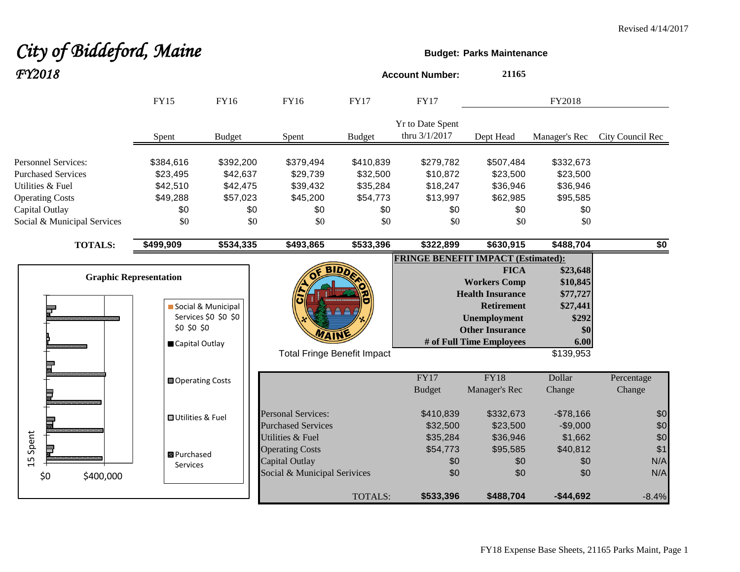# **City of Biddeford, Maine Budget:** Parks Maintenance *FY2018* **Account Number: <sup>21165</sup>**

|                                                                                                                                                        | <b>FY15</b>                                                 | FY16                                                        | FY16                                                                                                    | <b>FY17</b>                                                 | <b>FY17</b>                                                 |                                                                                                                                                                 | FY2018                                                                            |                          |
|--------------------------------------------------------------------------------------------------------------------------------------------------------|-------------------------------------------------------------|-------------------------------------------------------------|---------------------------------------------------------------------------------------------------------|-------------------------------------------------------------|-------------------------------------------------------------|-----------------------------------------------------------------------------------------------------------------------------------------------------------------|-----------------------------------------------------------------------------------|--------------------------|
|                                                                                                                                                        | Spent                                                       | <b>Budget</b>                                               | Spent                                                                                                   | <b>Budget</b>                                               | <b>Yr to Date Spent</b><br>thru 3/1/2017                    | Dept Head                                                                                                                                                       | Manager's Rec                                                                     | City Council Rec         |
| <b>Personnel Services:</b><br><b>Purchased Services</b><br>Utilities & Fuel<br><b>Operating Costs</b><br>Capital Outlay<br>Social & Municipal Services | \$384,616<br>\$23,495<br>\$42,510<br>\$49,288<br>\$0<br>\$0 | \$392,200<br>\$42,637<br>\$42,475<br>\$57,023<br>\$0<br>\$0 | \$379,494<br>\$29,739<br>\$39,432<br>\$45,200<br>\$0<br>\$0                                             | \$410,839<br>\$32,500<br>\$35,284<br>\$54,773<br>\$0<br>\$0 | \$279,782<br>\$10,872<br>\$18,247<br>\$13,997<br>\$0<br>\$0 | \$507,484<br>\$23,500<br>\$36,946<br>\$62,985<br>\$0<br>\$0                                                                                                     | \$332,673<br>\$23,500<br>\$36,946<br>\$95,585<br>\$0<br>\$0                       |                          |
| <b>TOTALS:</b>                                                                                                                                         | \$499,909                                                   | \$534,335                                                   | \$493,865                                                                                               | \$533,396                                                   | \$322,899                                                   | \$630,915                                                                                                                                                       | \$488,704                                                                         | \$0                      |
| <b>Graphic Representation</b>                                                                                                                          | \$0 \$0 \$0<br>Capital Outlay                               | Social & Municipal<br>Services \$0 \$0 \$0                  | <b>Total Fringe Benefit Impact</b>                                                                      | <b>BIDD</b>                                                 | <b>FRINGE BENEFIT IMPACT (Estimated):</b>                   | <b>FICA</b><br><b>Workers Comp</b><br><b>Health Insurance</b><br><b>Retirement</b><br><b>Unemployment</b><br><b>Other Insurance</b><br># of Full Time Employees | \$23,648<br>\$10,845<br>\$77,727<br>\$27,441<br>\$292<br>\$0<br>6.00<br>\$139,953 |                          |
|                                                                                                                                                        | <b>□</b> Operating Costs                                    |                                                             |                                                                                                         |                                                             | FY17<br><b>Budget</b>                                       | <b>FY18</b><br>Manager's Rec                                                                                                                                    | Dollar<br>Change                                                                  | Percentage<br>Change     |
|                                                                                                                                                        | <b>□</b> Utilities & Fuel                                   |                                                             | <b>Personal Services:</b><br><b>Purchased Services</b>                                                  |                                                             | \$410,839<br>\$32,500                                       | \$332,673<br>\$23,500                                                                                                                                           | $-$78,166$<br>$-$9,000$                                                           | \$0<br>\$0               |
| Spent<br>15<br>\$0<br>\$400,000                                                                                                                        | <b>B</b> Purchased<br>Services                              |                                                             | <b>Utilities &amp; Fuel</b><br><b>Operating Costs</b><br>Capital Outlay<br>Social & Municipal Serivices |                                                             | \$35,284<br>\$54,773<br>\$0<br>\$0                          | \$36,946<br>\$95,585<br>\$0<br>\$0                                                                                                                              | \$1,662<br>\$40,812<br>\$0<br>\$0                                                 | \$0<br>\$1<br>N/A<br>N/A |
|                                                                                                                                                        |                                                             |                                                             |                                                                                                         | TOTALS:                                                     | \$533,396                                                   | \$488,704                                                                                                                                                       | $-$44,692$                                                                        | $-8.4%$                  |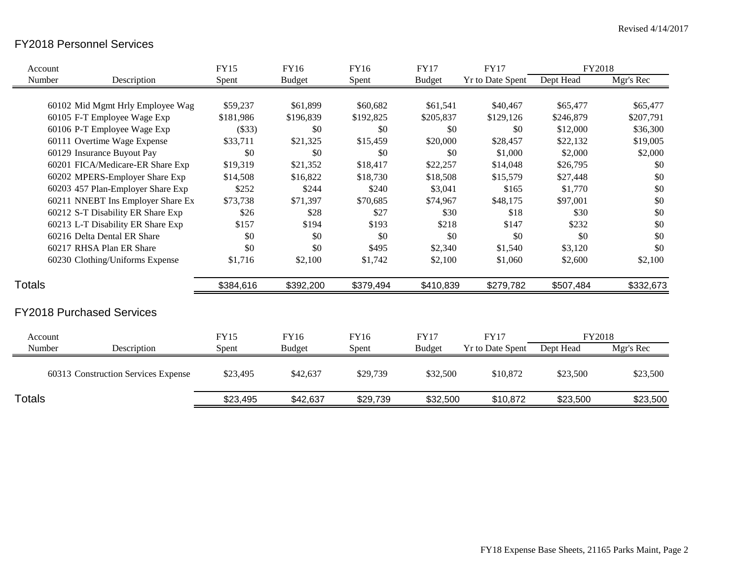## FY2018 Personnel Services

| Account       |                                     | <b>FY15</b> | FY16          | <b>FY16</b> | <b>FY17</b>   | <b>FY17</b>             | FY2018    |           |
|---------------|-------------------------------------|-------------|---------------|-------------|---------------|-------------------------|-----------|-----------|
| Number        | Description                         | Spent       | <b>Budget</b> | Spent       | <b>Budget</b> | <b>Yr to Date Spent</b> | Dept Head | Mgr's Rec |
|               |                                     |             |               |             |               |                         |           |           |
|               | 60102 Mid Mgmt Hrly Employee Wag    | \$59,237    | \$61,899      | \$60,682    | \$61,541      | \$40,467                | \$65,477  | \$65,477  |
|               | 60105 F-T Employee Wage Exp         | \$181,986   | \$196,839     | \$192,825   | \$205,837     | \$129,126               | \$246,879 | \$207,791 |
|               | 60106 P-T Employee Wage Exp         | (\$33)      | \$0           | \$0         | \$0           | \$0                     | \$12,000  | \$36,300  |
|               | 60111 Overtime Wage Expense         | \$33,711    | \$21,325      | \$15,459    | \$20,000      | \$28,457                | \$22,132  | \$19,005  |
|               | 60129 Insurance Buyout Pay          | \$0         | \$0           | \$0         | \$0           | \$1,000                 | \$2,000   | \$2,000   |
|               | 60201 FICA/Medicare-ER Share Exp    | \$19,319    | \$21,352      | \$18,417    | \$22,257      | \$14,048                | \$26,795  | \$0       |
|               | 60202 MPERS-Employer Share Exp      | \$14,508    | \$16,822      | \$18,730    | \$18,508      | \$15,579                | \$27,448  | \$0       |
|               | 60203 457 Plan-Employer Share Exp   | \$252       | \$244         | \$240       | \$3,041       | \$165                   | \$1,770   | \$0       |
|               | 60211 NNEBT Ins Employer Share Ex   | \$73,738    | \$71,397      | \$70,685    | \$74,967      | \$48,175                | \$97,001  | \$0       |
|               | 60212 S-T Disability ER Share Exp   | \$26        | \$28          | \$27        | \$30          | \$18                    | \$30      | \$0       |
|               | 60213 L-T Disability ER Share Exp   | \$157       | \$194         | \$193       | \$218         | \$147                   | \$232     | \$0       |
|               | 60216 Delta Dental ER Share         | \$0         | \$0           | \$0         | \$0           | \$0                     | \$0       | \$0       |
|               | 60217 RHSA Plan ER Share            | \$0         | \$0           | \$495       | \$2,340       | \$1,540                 | \$3,120   | \$0       |
|               | 60230 Clothing/Uniforms Expense     | \$1,716     | \$2,100       | \$1,742     | \$2,100       | \$1,060                 | \$2,600   | \$2,100   |
| <b>Totals</b> |                                     | \$384,616   | \$392,200     | \$379,494   | \$410,839     | \$279,782               | \$507,484 | \$332,673 |
|               | <b>FY2018 Purchased Services</b>    |             |               |             |               |                         |           |           |
| Account       |                                     | <b>FY15</b> | FY16          | FY16        | <b>FY17</b>   | <b>FY17</b>             | FY2018    |           |
| Number        | Description                         | Spent       | <b>Budget</b> | Spent       | <b>Budget</b> | <b>Yr to Date Spent</b> | Dept Head | Mgr's Rec |
|               | 60313 Construction Services Expense | \$23,495    | \$42,637      | \$29,739    | \$32,500      | \$10,872                | \$23,500  | \$23,500  |
| <b>Totals</b> |                                     | \$23,495    | \$42,637      | \$29,739    | \$32,500      | \$10,872                | \$23,500  | \$23,500  |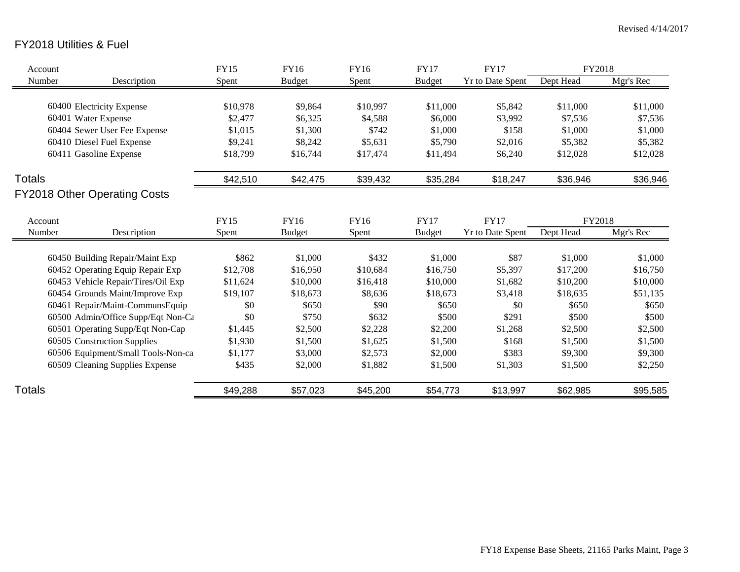# FY2018 Utilities & Fuel

| Account       |                                     | <b>FY15</b>      | FY16          | FY16               | <b>FY17</b>   | <b>FY17</b>             | FY2018    |           |
|---------------|-------------------------------------|------------------|---------------|--------------------|---------------|-------------------------|-----------|-----------|
| Number        | Description                         | Spent            | <b>Budget</b> | Spent              | <b>Budget</b> | <b>Yr to Date Spent</b> | Dept Head | Mgr's Rec |
|               |                                     |                  |               |                    |               |                         |           |           |
|               | 60400 Electricity Expense           | \$10,978         | \$9,864       | \$10,997           | \$11,000      | \$5,842                 | \$11,000  | \$11,000  |
|               | 60401 Water Expense                 | \$2,477          | \$6,325       | \$4,588            | \$6,000       | \$3,992                 | \$7,536   | \$7,536   |
|               | 60404 Sewer User Fee Expense        | \$1,015          | \$1,300       | \$742              | \$1,000       | \$158                   | \$1,000   | \$1,000   |
|               | 60410 Diesel Fuel Expense           | \$9,241          | \$8,242       | \$5,631            | \$5,790       | \$2,016                 | \$5,382   | \$5,382   |
|               | 60411 Gasoline Expense              | \$18,799         | \$16,744      | \$17,474           | \$11,494      | \$6,240                 | \$12,028  | \$12,028  |
| <b>Totals</b> |                                     | \$42,510         | \$42,475      | \$39,432           | \$35,284      | \$18,247                | \$36,946  | \$36,946  |
|               | <b>FY2018 Other Operating Costs</b> |                  |               |                    |               |                         |           |           |
| Account       |                                     | FY15             | FY16          | FY16               | <b>FY17</b>   | <b>FY17</b>             | FY2018    |           |
| Number        | Description                         | Spent            | <b>Budget</b> | Spent              | <b>Budget</b> | <b>Yr to Date Spent</b> | Dept Head | Mgr's Rec |
|               | 60450 Building Repair/Maint Exp     | \$862            | \$1,000       | \$432              | \$1,000       | \$87                    | \$1,000   | \$1,000   |
|               | 60452 Operating Equip Repair Exp    | \$12,708         | \$16,950      | \$10,684           | \$16,750      | \$5,397                 | \$17,200  | \$16,750  |
|               | 60453 Vehicle Repair/Tires/Oil Exp  | \$11,624         | \$10,000      | \$16,418           | \$10,000      | \$1,682                 | \$10,200  | \$10,000  |
|               | 60454 Grounds Maint/Improve Exp     | \$19,107         | \$18,673      | \$8,636            | \$18,673      | \$3,418                 | \$18,635  | \$51,135  |
|               | 60461 Repair/Maint-CommunsEquip     | \$0              | \$650         | \$90               | \$650         | \$0                     | \$650     | \$650     |
|               | 60500 Admin/Office Supp/Eqt Non-Ca  | \$0              | \$750         | \$632              | \$500         | \$291                   | \$500     | \$500     |
|               | 60501 Operating Supp/Eqt Non-Cap    | \$1,445          | \$2,500       | \$2,228            | \$2,200       | \$1,268                 | \$2,500   | \$2,500   |
|               | 60505 Construction Supplies         | \$1,930          | \$1,500       | \$1,625            | \$1,500       | \$168                   | \$1,500   | \$1,500   |
|               | 60506 Equipment/Small Tools-Non-ca  |                  | \$3,000       |                    | \$2,000       | \$383                   | \$9,300   | \$9,300   |
|               | 60509 Cleaning Supplies Expense     | \$1,177<br>\$435 | \$2,000       | \$2,573<br>\$1,882 | \$1,500       | \$1,303                 | \$1,500   | \$2,250   |
|               |                                     |                  |               |                    |               |                         |           |           |
| <b>Totals</b> |                                     | \$49,288         | \$57,023      | \$45,200           | \$54,773      | \$13,997                | \$62,985  | \$95,585  |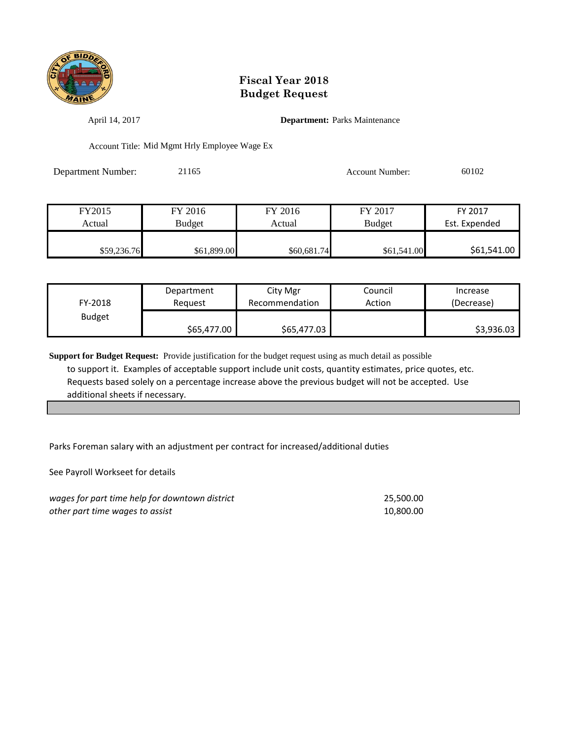

April 14, 2017 **Department:** Parks Maintenance

Account Title: Mid Mgmt Hrly Employee Wage Ex

Department Number: 21165 Account Number: 60102

| FY2015      | FY 2016       | FY 2016     | FY 2017       | FY 2017       |
|-------------|---------------|-------------|---------------|---------------|
| Actual      | <b>Budget</b> | Actual      | <b>Budget</b> | Est. Expended |
|             |               |             |               |               |
| \$59,236.76 | \$61,899.00   | \$60,681.74 | \$61,541.00   | \$61,541.00   |

| FY-2018       | Department  | City Mgr       | Council | Increase   |
|---------------|-------------|----------------|---------|------------|
|               | Reauest     | Recommendation | Action  | (Decrease) |
| <b>Budget</b> | \$65,477.00 | \$65,477.03    |         | \$3,936.03 |

**Support for Budget Request:** Provide justification for the budget request using as much detail as possible to support it. Examples of acceptable support include unit costs, quantity estimates, price quotes, etc. Requests based solely on a percentage increase above the previous budget will not be accepted. Use additional sheets if necessary.

Parks Foreman salary with an adjustment per contract for increased/additional duties

See Payroll Workseet for details

| wages for part time help for downtown district | 25.500.00 |
|------------------------------------------------|-----------|
| other part time wages to assist                | 10.800.00 |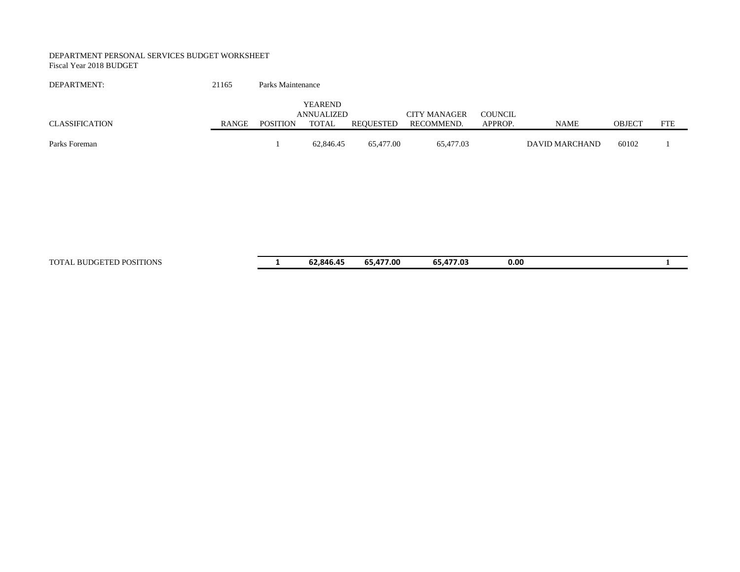#### DEPARTMENT PERSONAL SERVICES BUDGET WORKSHEET Fiscal Year 2018 BUDGET

| DEPARTMENT:    | 21165 | Parks Maintenance |                       |           |                     |                |                |        |            |
|----------------|-------|-------------------|-----------------------|-----------|---------------------|----------------|----------------|--------|------------|
|                |       |                   | YEAREND<br>ANNUALIZED |           | <b>CITY MANAGER</b> | <b>COUNCIL</b> |                |        |            |
| CLASSIFICATION | RANGE | <b>POSITION</b>   | TOTAL                 | REOUESTED | RECOMMEND.          | APPROP.        | <b>NAME</b>    | OBJECT | <b>FTE</b> |
| Parks Foreman  |       |                   | 62,846.45             | 65,477.00 | 65,477.03           |                | DAVID MARCHAND | 60102  |            |

TOTAL BUDGETED POSITIONS **1 62,846.45 65,477.00 65,477.03 0.00 1**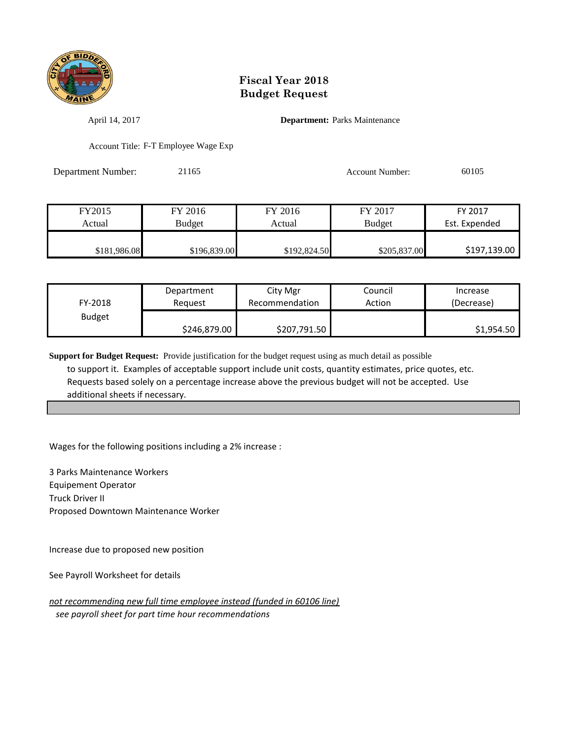

April 14, 2017 **Department:** Parks Maintenance

Account Title: F-T Employee Wage Exp

Department Number: 21165 21165 Account Number: 60105

| FY2015       | FY 2016      | FY 2016      | FY 2017       | FY 2017       |
|--------------|--------------|--------------|---------------|---------------|
| Actual       | Budget       | Actual       | <b>Budget</b> | Est. Expended |
|              |              |              |               |               |
| \$181,986.08 | \$196,839.00 | \$192,824.50 | \$205,837.00  | \$197,139.00  |

| FY-2018       | Department   | City Mgr       | Council | Increase   |
|---------------|--------------|----------------|---------|------------|
|               | Reauest      | Recommendation | Action  | (Decrease) |
| <b>Budget</b> | \$246,879.00 | \$207,791.50   |         | \$1,954.50 |

**Support for Budget Request:** Provide justification for the budget request using as much detail as possible to support it. Examples of acceptable support include unit costs, quantity estimates, price quotes, etc. Requests based solely on a percentage increase above the previous budget will not be accepted. Use additional sheets if necessary.

Wages for the following positions including a 2% increase :

3 Parks Maintenance Workers Equipement Operator Truck Driver II Proposed Downtown Maintenance Worker

Increase due to proposed new position

See Payroll Worksheet for details

*not recommending new full time employee instead (funded in 60106 line) see payroll sheet for part time hour recommendations*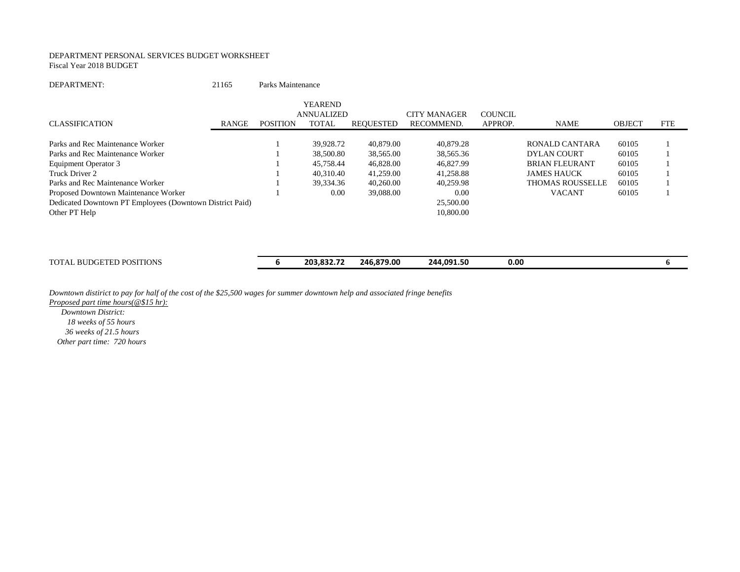#### DEPARTMENT PERSONAL SERVICES BUDGET WORKSHEET Fiscal Year 2018 BUDGET

#### DEPARTMENT: 21165 Parks Maintenance

|                                                          |              |                 | <b>YEAREND</b>    |           |                     |         |                         |               |            |
|----------------------------------------------------------|--------------|-----------------|-------------------|-----------|---------------------|---------|-------------------------|---------------|------------|
|                                                          |              |                 | <b>ANNUALIZED</b> |           | <b>CITY MANAGER</b> | COUNCIL |                         |               |            |
| <b>CLASSIFICATION</b>                                    | <b>RANGE</b> | <b>POSITION</b> | <b>TOTAL</b>      | REQUESTED | RECOMMEND.          | APPROP. | <b>NAME</b>             | <b>OBJECT</b> | <b>FTE</b> |
| Parks and Rec Maintenance Worker                         |              |                 | 39.928.72         | 40,879.00 | 40.879.28           |         | RONALD CANTARA          | 60105         |            |
|                                                          |              |                 |                   |           |                     |         |                         |               |            |
| Parks and Rec Maintenance Worker                         |              |                 | 38,500.80         | 38,565.00 | 38,565.36           |         | DYLAN COURT             | 60105         |            |
| Equipment Operator 3                                     |              |                 | 45.758.44         | 46,828.00 | 46,827.99           |         | <b>BRIAN FLEURANT</b>   | 60105         |            |
| Truck Driver 2                                           |              |                 | 40,310.40         | 41,259.00 | 41.258.88           |         | <b>JAMES HAUCK</b>      | 60105         |            |
| Parks and Rec Maintenance Worker                         |              |                 | 39,334.36         | 40.260.00 | 40.259.98           |         | <b>THOMAS ROUSSELLE</b> | 60105         |            |
| Proposed Downtown Maintenance Worker                     |              |                 | 0.00              | 39,088.00 | 0.00                |         | <b>VACANT</b>           | 60105         |            |
| Dedicated Downtown PT Employees (Downtown District Paid) |              |                 |                   |           | 25,500.00           |         |                         |               |            |
| Other PT Help                                            |              |                 |                   |           | 10,800.00           |         |                         |               |            |
|                                                          |              |                 |                   |           |                     |         |                         |               |            |

TOTAL BUDGETED POSITIONS **6 203,832.72 246,879.00 244,091.50 0.00 6**

*Downtown distirict to pay for half of the cost of the \$25,500 wages for summer downtown help and associated fringe benefits*

*Proposed part time hours(@\$15 hr):*

 *Downtown District: 18 weeks of 55 hours 36 weeks of 21.5 hours Other part time: 720 hours*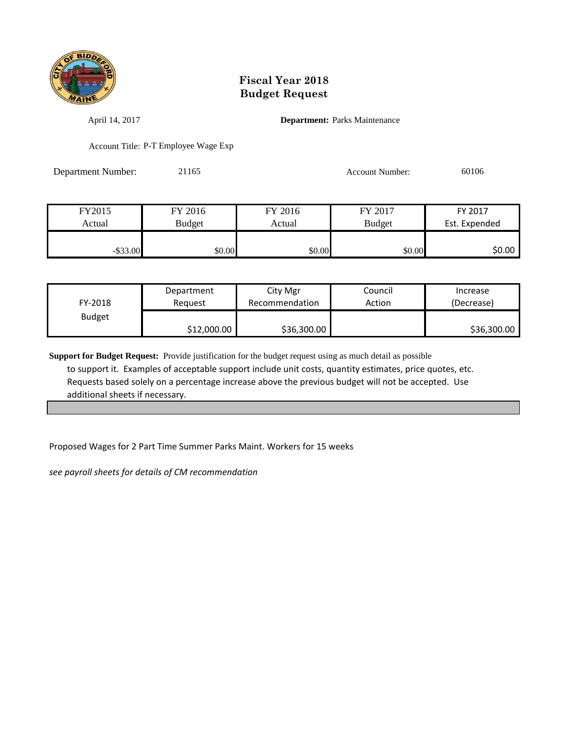

April 14, 2017 **Department:** Parks Maintenance

Account Title: P-T Employee Wage Exp

Department Number: 21165 Account Number: 60106

| FY2015      | FY 2016 | FY 2016 | FY 2017       | FY 2017       |  |
|-------------|---------|---------|---------------|---------------|--|
| Actual      | Budget  | Actual  | <b>Budget</b> | Est. Expended |  |
|             |         |         |               |               |  |
| $-$ \$33.00 | \$0.00  | \$0.00  | \$0.00        | \$0.00        |  |

| FY-2018       | Department  | City Mgr       | Council | Increase    |
|---------------|-------------|----------------|---------|-------------|
|               | Reauest     | Recommendation | Action  | (Decrease)  |
| <b>Budget</b> | \$12,000.00 | \$36,300.00    |         | \$36,300.00 |

**Support for Budget Request:** Provide justification for the budget request using as much detail as possible to support it. Examples of acceptable support include unit costs, quantity estimates, price quotes, etc. Requests based solely on a percentage increase above the previous budget will not be accepted. Use additional sheets if necessary.

Proposed Wages for 2 Part Time Summer Parks Maint. Workers for 15 weeks

*see payroll sheets for details of CM recommendation*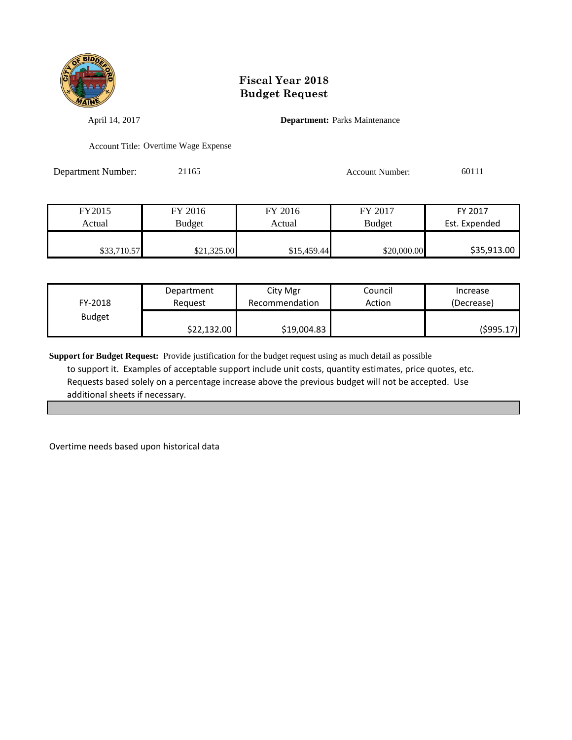

April 14, 2017 **Department:** Parks Maintenance

Account Title: Overtime Wage Expense

Department Number: 21165 Account Number: 60111

| FY2015      | FY 2016       | FY 2016     | FY 2017       | FY 2017       |
|-------------|---------------|-------------|---------------|---------------|
| Actual      | <b>Budget</b> | Actual      | <b>Budget</b> | Est. Expended |
|             |               |             |               |               |
| \$33,710.57 | \$21,325.00   | \$15,459.44 | \$20,000.00   | \$35,913.00   |

| FY-2018       | Department  | City Mgr       | Council | Increase   |
|---------------|-------------|----------------|---------|------------|
|               | Reauest     | Recommendation | Action  | (Decrease) |
| <b>Budget</b> | \$22,132.00 | \$19,004.83    |         | (\$995.17) |

**Support for Budget Request:** Provide justification for the budget request using as much detail as possible to support it. Examples of acceptable support include unit costs, quantity estimates, price quotes, etc. Requests based solely on a percentage increase above the previous budget will not be accepted. Use additional sheets if necessary.

Overtime needs based upon historical data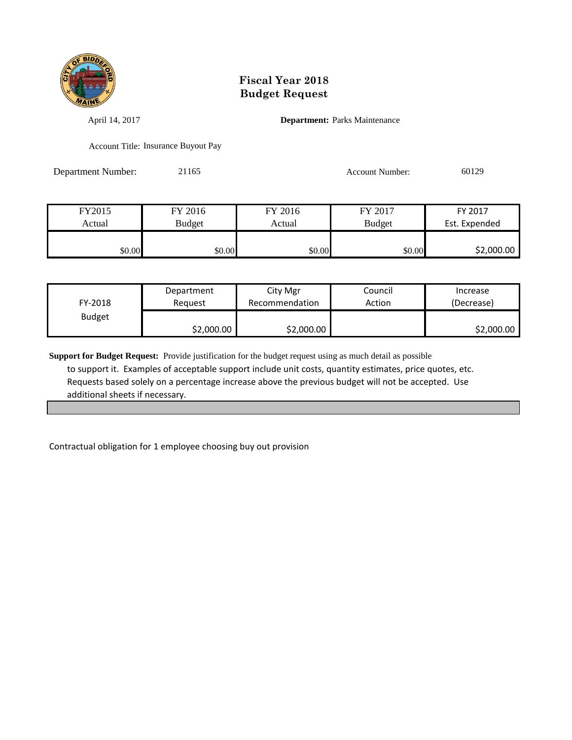

April 14, 2017 **Department:** Parks Maintenance

Account Title: Insurance Buyout Pay

Department Number: 21165 Account Number: 60129

| FY2015 | FY 2016 | FY 2016 | FY 2017       | FY 2017       |
|--------|---------|---------|---------------|---------------|
| Actual | Budget  | Actual  | <b>Budget</b> | Est. Expended |
|        |         |         |               |               |
| \$0.00 | \$0.00  | \$0.00  | \$0.00        | \$2,000.00    |

| FY-2018       | Department | City Mgr       | Council | Increase   |
|---------------|------------|----------------|---------|------------|
|               | Reauest    | Recommendation | Action  | (Decrease) |
| <b>Budget</b> | \$2,000.00 | \$2,000.00     |         | \$2,000.00 |

**Support for Budget Request:** Provide justification for the budget request using as much detail as possible to support it. Examples of acceptable support include unit costs, quantity estimates, price quotes, etc. Requests based solely on a percentage increase above the previous budget will not be accepted. Use additional sheets if necessary.

Contractual obligation for 1 employee choosing buy out provision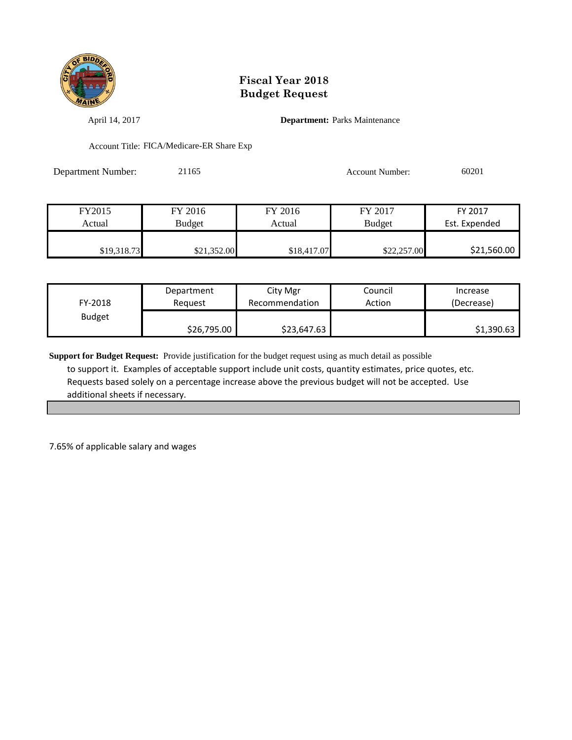

April 14, 2017 **Department:** Parks Maintenance

Account Title: FICA/Medicare-ER Share Exp

| <b>Department Number:</b> | 21165 | <b>Account Number:</b> | 60201 |
|---------------------------|-------|------------------------|-------|
|                           |       |                        |       |

| FY2015      | FY 2016       | FY 2016     | FY 2017       | FY 2017       |
|-------------|---------------|-------------|---------------|---------------|
| Actual      | <b>Budget</b> | Actual      | <b>Budget</b> | Est. Expended |
|             |               |             |               |               |
| \$19,318.73 | \$21,352.00   | \$18,417.07 | \$22,257.00   | \$21,560.00   |

| FY-2018       | Department  | City Mgr       | Council | Increase   |
|---------------|-------------|----------------|---------|------------|
|               | Reauest     | Recommendation | Action  | (Decrease) |
| <b>Budget</b> | \$26,795.00 | \$23,647.63    |         | \$1,390.63 |

**Support for Budget Request:** Provide justification for the budget request using as much detail as possible to support it. Examples of acceptable support include unit costs, quantity estimates, price quotes, etc. Requests based solely on a percentage increase above the previous budget will not be accepted. Use additional sheets if necessary.

7.65% of applicable salary and wages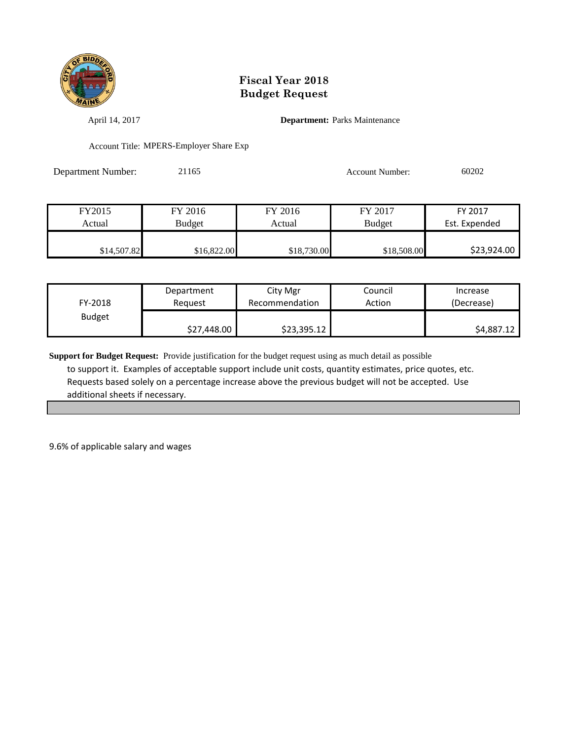

April 14, 2017 **Department:** Parks Maintenance

Account Title: MPERS-Employer Share Exp

Department Number: 21165 Account Number: 60202

| FY2015      | FY 2016       | FY 2016     | FY 2017       | FY 2017       |
|-------------|---------------|-------------|---------------|---------------|
| Actual      | <b>Budget</b> | Actual      | <b>Budget</b> | Est. Expended |
|             |               |             |               |               |
| \$14,507.82 | \$16,822.00   | \$18,730.00 | \$18,508.00   | \$23,924.00   |

| FY-2018       | Department  | City Mgr       | Council | Increase   |
|---------------|-------------|----------------|---------|------------|
|               | Reauest     | Recommendation | Action  | (Decrease) |
| <b>Budget</b> | \$27,448.00 | \$23,395.12    |         | \$4,887.12 |

**Support for Budget Request:** Provide justification for the budget request using as much detail as possible to support it. Examples of acceptable support include unit costs, quantity estimates, price quotes, etc. Requests based solely on a percentage increase above the previous budget will not be accepted. Use additional sheets if necessary.

9.6% of applicable salary and wages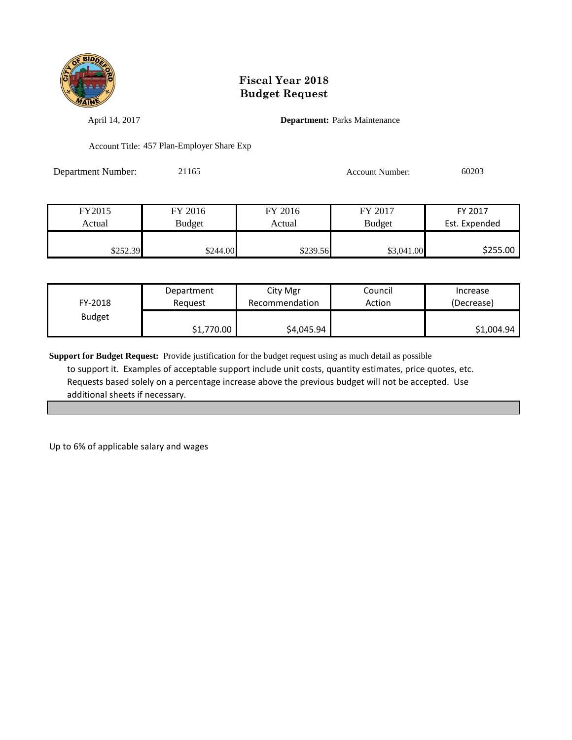

April 14, 2017 **Department:** Parks Maintenance

Account Title: 457 Plan-Employer Share Exp

| <b>Department Number:</b> | 21165 | <b>Account Number:</b> | 60203 |
|---------------------------|-------|------------------------|-------|
|                           |       |                        |       |

| FY2015   | FY 2016  | FY 2016  | FY 2017       | FY 2017       |
|----------|----------|----------|---------------|---------------|
| Actual   | Budget   | Actual   | <b>Budget</b> | Est. Expended |
|          |          |          |               |               |
| \$252.39 | \$244.00 | \$239.56 | \$3,041.00    | \$255.00      |

| FY-2018       | Department | City Mgr       | Council | Increase   |
|---------------|------------|----------------|---------|------------|
|               | Reauest    | Recommendation | Action  | (Decrease) |
| <b>Budget</b> | \$1,770.00 | \$4,045.94     |         | \$1,004.94 |

**Support for Budget Request:** Provide justification for the budget request using as much detail as possible to support it. Examples of acceptable support include unit costs, quantity estimates, price quotes, etc. Requests based solely on a percentage increase above the previous budget will not be accepted. Use additional sheets if necessary.

Up to 6% of applicable salary and wages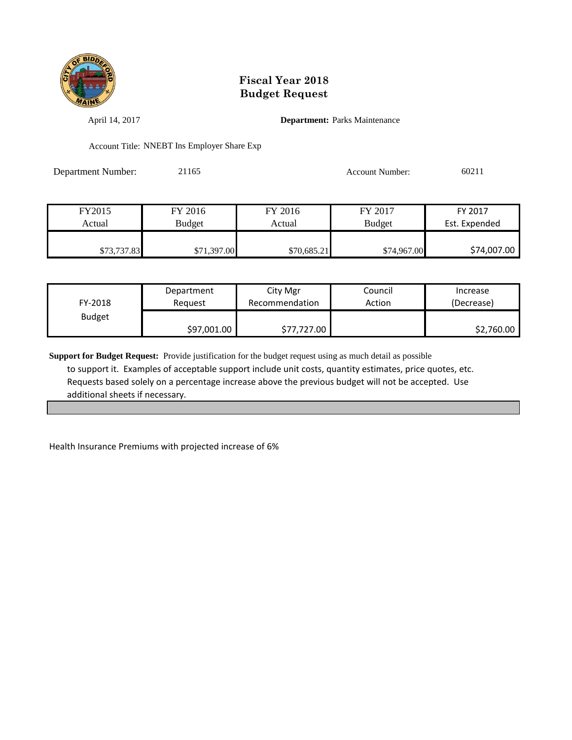

April 14, 2017 **Department:** Parks Maintenance

Account Title: NNEBT Ins Employer Share Exp

| Department Number: | 21165 | <b>Account Number:</b> | 60211 |
|--------------------|-------|------------------------|-------|
|                    |       |                        |       |

| FY2015      | FY 2016     | FY 2016     | FY 2017       | FY 2017       |
|-------------|-------------|-------------|---------------|---------------|
| Actual      | Budget      | Actual      | <b>Budget</b> | Est. Expended |
|             |             |             |               |               |
| \$73,737.83 | \$71,397.00 | \$70,685.21 | \$74,967.00   | \$74,007.00   |

| FY-2018       | Department  | City Mgr       | Council | Increase   |
|---------------|-------------|----------------|---------|------------|
|               | Reguest     | Recommendation | Action  | (Decrease) |
| <b>Budget</b> | \$97,001.00 | \$77,727.00    |         | \$2,760.00 |

**Support for Budget Request:** Provide justification for the budget request using as much detail as possible to support it. Examples of acceptable support include unit costs, quantity estimates, price quotes, etc. Requests based solely on a percentage increase above the previous budget will not be accepted. Use additional sheets if necessary.

Health Insurance Premiums with projected increase of 6%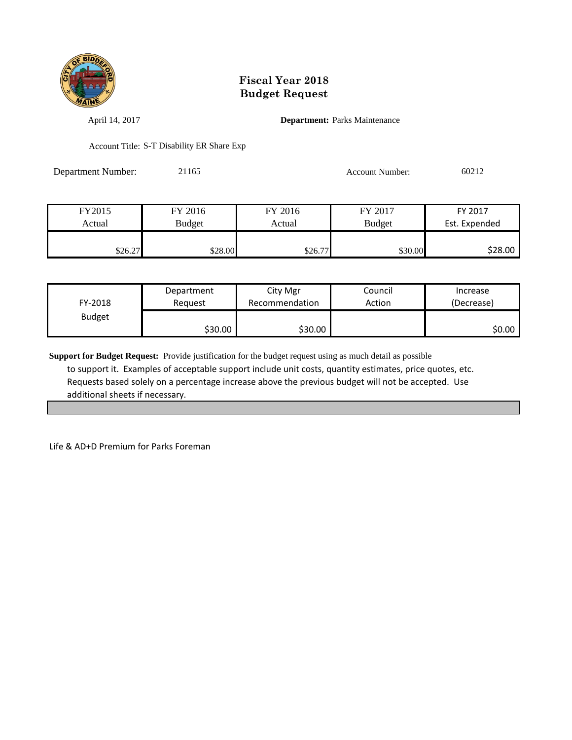

April 14, 2017 **Department:** Parks Maintenance

Account Title: S-T Disability ER Share Exp

Department Number: 21165 Account Number: 60212

| FY2015  | FY 2016 | FY 2016 | FY 2017       | FY 2017       |
|---------|---------|---------|---------------|---------------|
| Actual  | Budget  | Actual  | <b>Budget</b> | Est. Expended |
|         |         |         |               |               |
| \$26.27 | \$28.00 | \$26.77 | \$30.00       | \$28.00       |

| FY-2018       | Department | City Mgr       | Council | Increase   |
|---------------|------------|----------------|---------|------------|
|               | Reguest    | Recommendation | Action  | (Decrease) |
| <b>Budget</b> | \$30.00    | \$30.00        |         | \$0.00     |

**Support for Budget Request:** Provide justification for the budget request using as much detail as possible to support it. Examples of acceptable support include unit costs, quantity estimates, price quotes, etc. Requests based solely on a percentage increase above the previous budget will not be accepted. Use additional sheets if necessary.

Life & AD+D Premium for Parks Foreman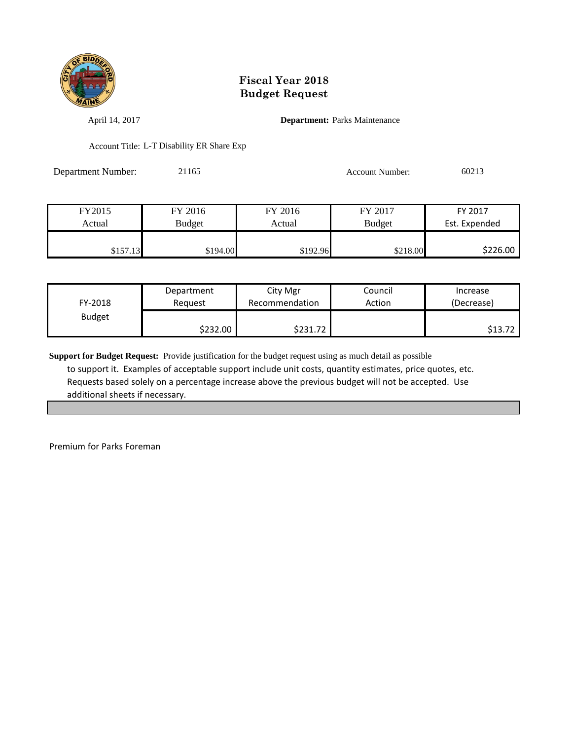

April 14, 2017 **Department:** Parks Maintenance

Account Title: L-T Disability ER Share Exp

Department Number: 21165 Account Number: 60213

| FY2015   | FY 2016       | FY 2016  | FY 2017       | FY 2017       |
|----------|---------------|----------|---------------|---------------|
| Actual   | <b>Budget</b> | Actual   | <b>Budget</b> | Est. Expended |
|          |               |          |               |               |
| \$157.13 | \$194.00      | \$192.96 | \$218.00      | \$226.00      |

| FY-2018       | Department | City Mgr       | Council | Increase   |
|---------------|------------|----------------|---------|------------|
|               | Reguest    | Recommendation | Action  | (Decrease) |
| <b>Budget</b> | S232.00 l  | \$231.72       |         | \$13.72    |

**Support for Budget Request:** Provide justification for the budget request using as much detail as possible to support it. Examples of acceptable support include unit costs, quantity estimates, price quotes, etc. Requests based solely on a percentage increase above the previous budget will not be accepted. Use additional sheets if necessary.

Premium for Parks Foreman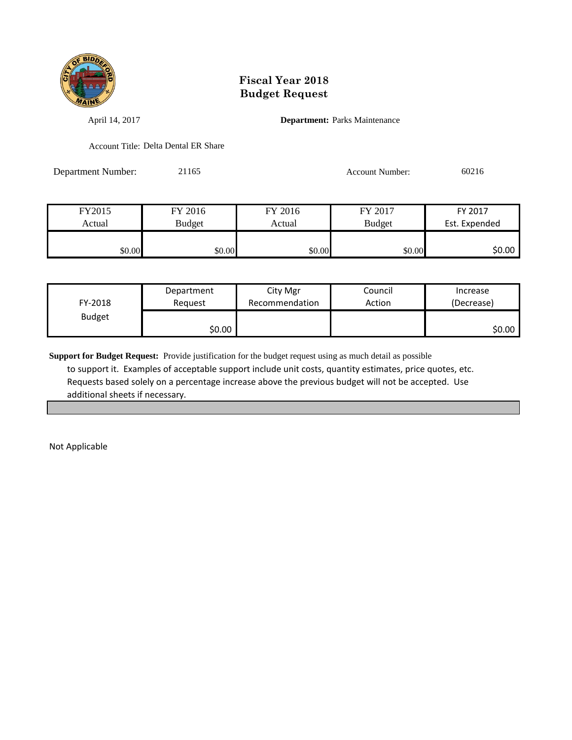

April 14, 2017 **Department:** Parks Maintenance

Account Title: Delta Dental ER Share

Department Number: 21165 Account Number: 60216

| FY2015 | FY 2016       | FY 2016 | FY 2017       | FY 2017       |
|--------|---------------|---------|---------------|---------------|
| Actual | <b>Budget</b> | Actual  | <b>Budget</b> | Est. Expended |
|        |               |         |               |               |
| \$0.00 | \$0.00        | \$0.00  | \$0.00        | \$0.00        |

| FY-2018       | Department | City Mgr       | Council | Increase   |
|---------------|------------|----------------|---------|------------|
|               | Reauest    | Recommendation | Action  | (Decrease) |
| <b>Budget</b> | \$0.00     |                |         | \$0.00     |

**Support for Budget Request:** Provide justification for the budget request using as much detail as possible to support it. Examples of acceptable support include unit costs, quantity estimates, price quotes, etc. Requests based solely on a percentage increase above the previous budget will not be accepted. Use additional sheets if necessary.

Not Applicable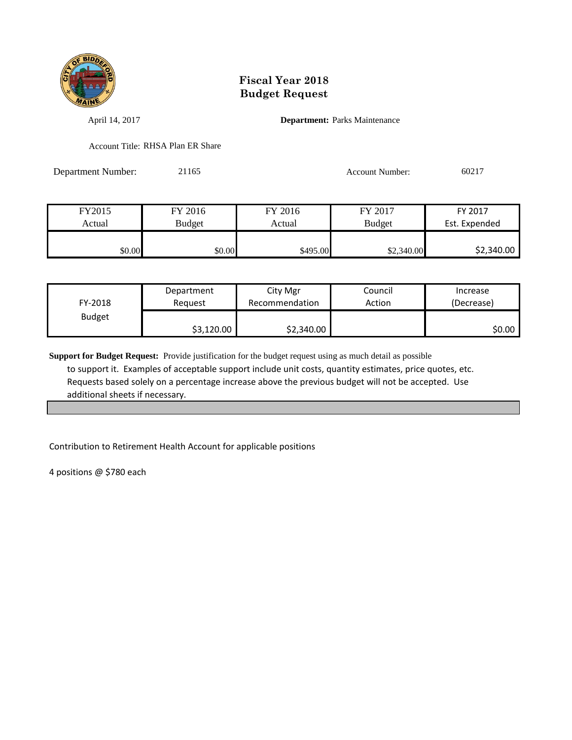

April 14, 2017 **Department:** Parks Maintenance

Account Title: RHSA Plan ER Share

Department Number: 21165 Account Number: 60217

| FY2015 | FY 2016       | FY 2016  | FY 2017       | FY 2017       |
|--------|---------------|----------|---------------|---------------|
| Actual | <b>Budget</b> | Actual   | <b>Budget</b> | Est. Expended |
|        |               |          |               |               |
| \$0.00 | \$0.00        | \$495.00 | \$2,340.00    | \$2,340.00    |

| FY-2018       | Department | City Mgr       | Council | Increase   |
|---------------|------------|----------------|---------|------------|
|               | Reauest    | Recommendation | Action  | (Decrease) |
| <b>Budget</b> | \$3,120.00 | \$2,340.00     |         | \$0.00     |

**Support for Budget Request:** Provide justification for the budget request using as much detail as possible to support it. Examples of acceptable support include unit costs, quantity estimates, price quotes, etc. Requests based solely on a percentage increase above the previous budget will not be accepted. Use additional sheets if necessary.

Contribution to Retirement Health Account for applicable positions

4 positions @ \$780 each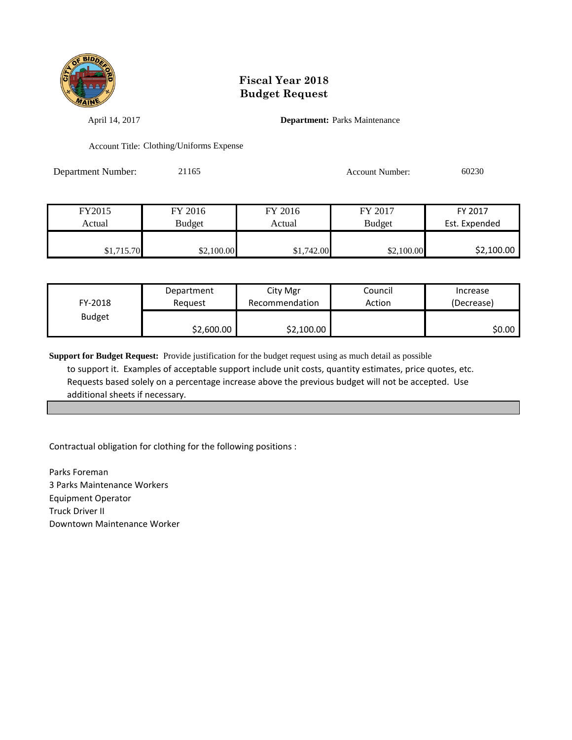

April 14, 2017 **Department:** Parks Maintenance

Account Title: Clothing/Uniforms Expense

Department Number: 21165 Account Number: 60230

| FY2015     | FY 2016       | FY 2016    | FY 2017       | FY 2017       |
|------------|---------------|------------|---------------|---------------|
| Actual     | <b>Budget</b> | Actual     | <b>Budget</b> | Est. Expended |
|            |               |            |               |               |
| \$1,715.70 | \$2,100.00    | \$1,742.00 | \$2,100.00    | \$2,100.00    |

| FY-2018       | Department | City Mgr       | Council | Increase   |
|---------------|------------|----------------|---------|------------|
|               | Reauest    | Recommendation | Action  | (Decrease) |
| <b>Budget</b> | \$2,600.00 | \$2,100.00     |         | \$0.00     |

**Support for Budget Request:** Provide justification for the budget request using as much detail as possible to support it. Examples of acceptable support include unit costs, quantity estimates, price quotes, etc. Requests based solely on a percentage increase above the previous budget will not be accepted. Use additional sheets if necessary.

Contractual obligation for clothing for the following positions :

Parks Foreman 3 Parks Maintenance Workers Equipment Operator Truck Driver II Downtown Maintenance Worker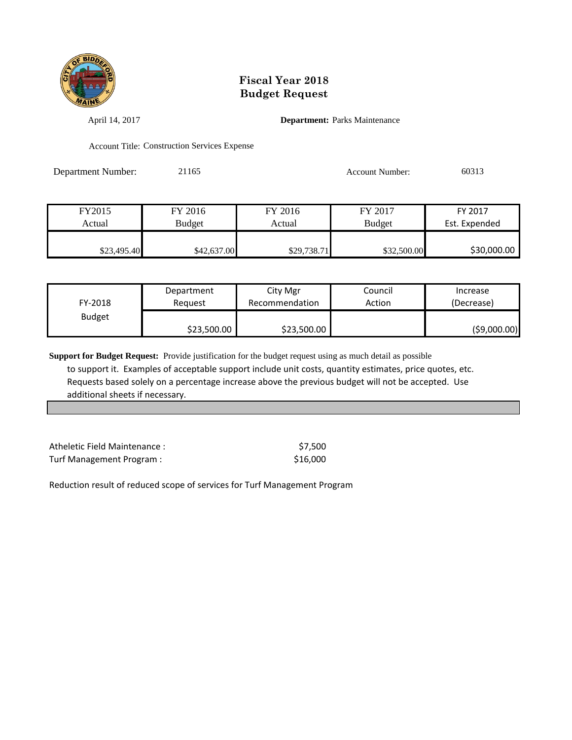

April 14, 2017 **Department:** Parks Maintenance

Account Title: Construction Services Expense

Department Number: 21165 Account Number: 60313

| FY2015      | FY 2016     | FY 2016     | FY 2017       | FY 2017       |
|-------------|-------------|-------------|---------------|---------------|
| Actual      | Budget      | Actual      | <b>Budget</b> | Est. Expended |
|             |             |             |               |               |
| \$23,495.40 | \$42,637.00 | \$29,738.71 | \$32,500.00   | \$30,000.00   |

| FY-2018       | Department  | City Mgr       | Council | Increase    |
|---------------|-------------|----------------|---------|-------------|
|               | Reauest     | Recommendation | Action  | (Decrease)  |
| <b>Budget</b> | \$23,500.00 | \$23,500.00    |         | (59,000.00) |

**Support for Budget Request:** Provide justification for the budget request using as much detail as possible to support it. Examples of acceptable support include unit costs, quantity estimates, price quotes, etc. Requests based solely on a percentage increase above the previous budget will not be accepted. Use additional sheets if necessary.

| Atheletic Field Maintenance: | \$7.500  |
|------------------------------|----------|
| Turf Management Program:     | \$16,000 |

Reduction result of reduced scope of services for Turf Management Program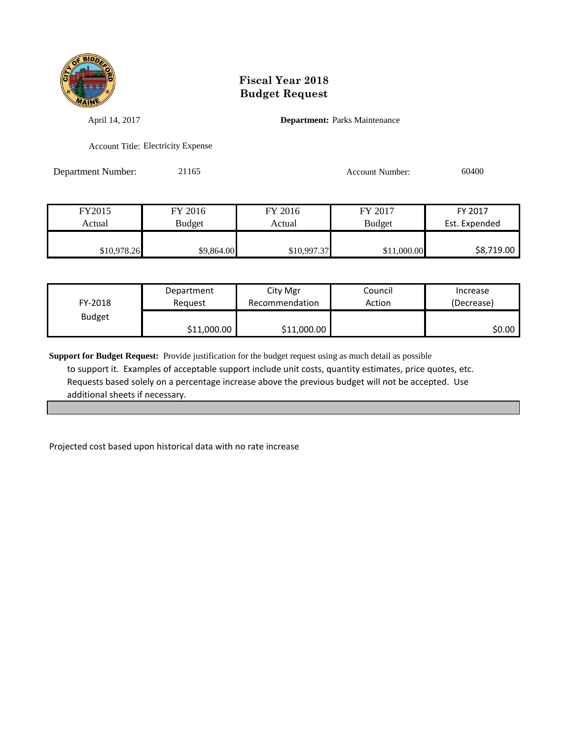

April 14, 2017 **Department:** Parks Maintenance

Account Title: Electricity Expense

Department Number: 21165 Account Number: 60400

FY2015 FY 2016 FY 2016 FY 2017 FY 2017 Actual Budget Actual Budget Actual Budget Est. Expended \$10,978.26 \$9,864.00 \$9,864.00 \$10,997.37 \$11,000.00 \$8,719.00

| FY-2018       | Department  | City Mgr       | Council | Increase   |
|---------------|-------------|----------------|---------|------------|
|               | Reauest     | Recommendation | Action  | (Decrease) |
| <b>Budget</b> | \$11,000.00 | \$11,000.00    |         | \$0.00     |

**Support for Budget Request:** Provide justification for the budget request using as much detail as possible to support it. Examples of acceptable support include unit costs, quantity estimates, price quotes, etc. Requests based solely on a percentage increase above the previous budget will not be accepted. Use additional sheets if necessary.

Projected cost based upon historical data with no rate increase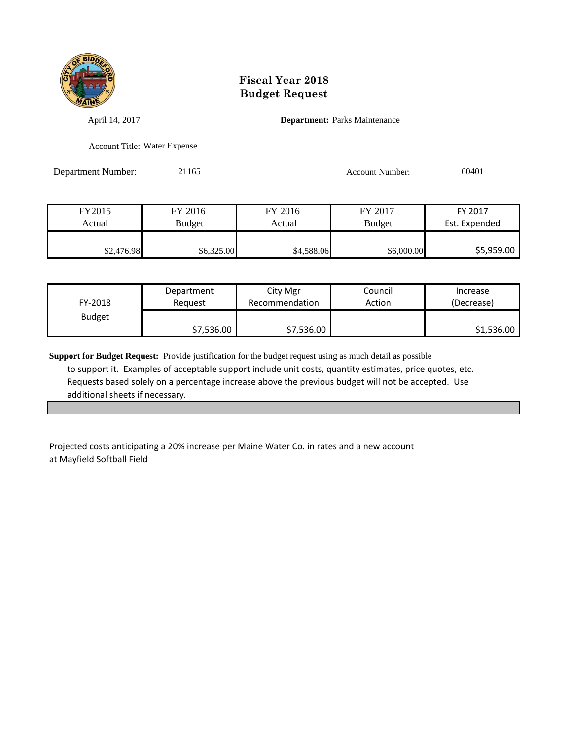

April 14, 2017 **Department:** Parks Maintenance

Account Title: Water Expense

Department Number: 21165 Account Number: 60401

| FY2015     | FY 2016       | FY 2016    | FY 2017       | FY 2017       |
|------------|---------------|------------|---------------|---------------|
| Actual     | <b>Budget</b> | Actual     | <b>Budget</b> | Est. Expended |
|            |               |            |               |               |
| \$2,476.98 | \$6,325.00    | \$4,588.06 | \$6,000.00    | \$5,959.00    |

| FY-2018       | Department | City Mgr       | Council | Increase   |
|---------------|------------|----------------|---------|------------|
|               | Reauest    | Recommendation | Action  | (Decrease) |
| <b>Budget</b> | \$7,536.00 | \$7,536.00     |         | \$1,536.00 |

**Support for Budget Request:** Provide justification for the budget request using as much detail as possible to support it. Examples of acceptable support include unit costs, quantity estimates, price quotes, etc. Requests based solely on a percentage increase above the previous budget will not be accepted. Use additional sheets if necessary.

Projected costs anticipating a 20% increase per Maine Water Co. in rates and a new account at Mayfield Softball Field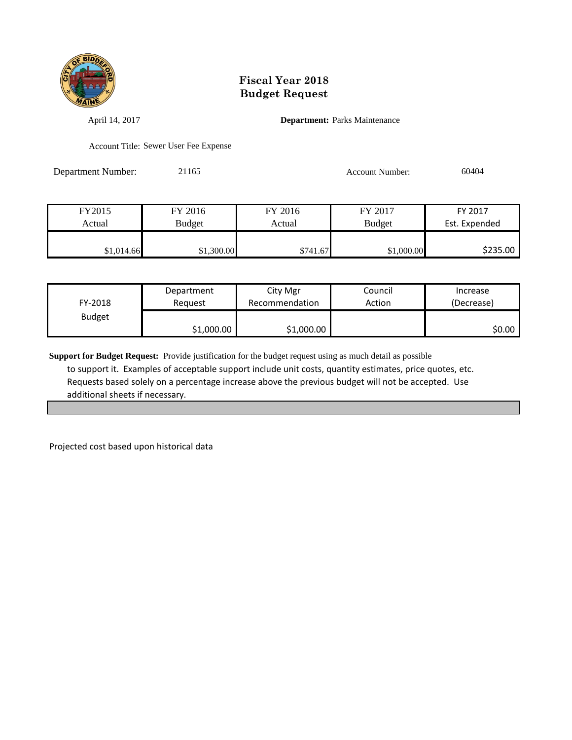

April 14, 2017 **Department:** Parks Maintenance

Account Title: Sewer User Fee Expense

Department Number: 21165 21165 Account Number: 60404

| FY2015     | FY 2016    | FY 2016  | FY 2017       | FY 2017       |
|------------|------------|----------|---------------|---------------|
| Actual     | Budget     | Actual   | <b>Budget</b> | Est. Expended |
|            |            |          |               |               |
| \$1,014.66 | \$1,300.00 | \$741.67 | \$1,000.00    | \$235.00      |

| FY-2018       | Department | City Mgr       | Council | Increase   |
|---------------|------------|----------------|---------|------------|
|               | Reauest    | Recommendation | Action  | (Decrease) |
| <b>Budget</b> | \$1,000.00 | \$1,000.00     |         | \$0.00     |

**Support for Budget Request:** Provide justification for the budget request using as much detail as possible to support it. Examples of acceptable support include unit costs, quantity estimates, price quotes, etc. Requests based solely on a percentage increase above the previous budget will not be accepted. Use additional sheets if necessary.

Projected cost based upon historical data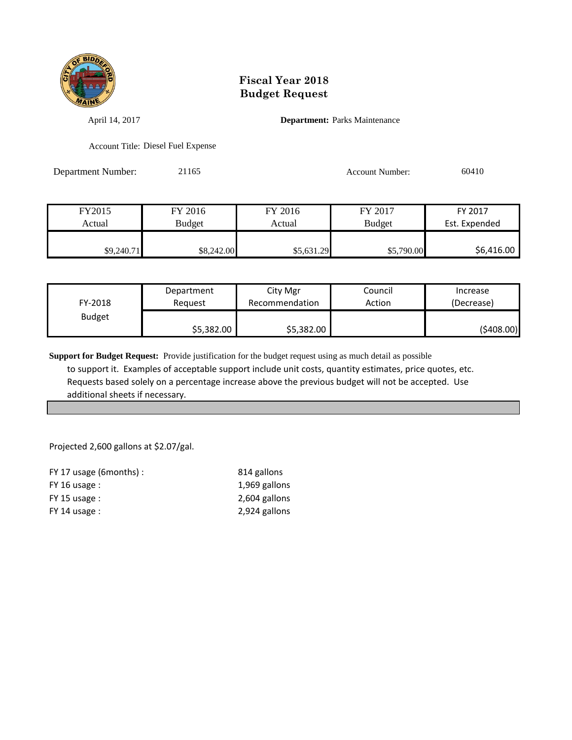

April 14, 2017 **Department:** Parks Maintenance

Account Title: Diesel Fuel Expense

Department Number: 21165 Account Number: 60410

| FY2015     | FY 2016    | FY 2016    | FY 2017    | FY 2017       |
|------------|------------|------------|------------|---------------|
| Actual     | Budget     | Actual     | Budget     | Est. Expended |
|            |            |            |            |               |
| \$9,240.71 | \$8,242.00 | \$5,631.29 | \$5,790.00 | \$6,416.00    |

| FY-2018       | Department | City Mgr       | Council | Increase   |
|---------------|------------|----------------|---------|------------|
|               | Reauest    | Recommendation | Action  | (Decrease) |
| <b>Budget</b> | \$5,382.00 | \$5,382.00     |         | (\$408.00) |

**Support for Budget Request:** Provide justification for the budget request using as much detail as possible to support it. Examples of acceptable support include unit costs, quantity estimates, price quotes, etc. Requests based solely on a percentage increase above the previous budget will not be accepted. Use additional sheets if necessary.

Projected 2,600 gallons at \$2.07/gal.

| $FY$ 17 usage (6 months) : | 814 gallons   |
|----------------------------|---------------|
| $FY$ 16 usage :            | 1,969 gallons |
| $FY$ 15 usage :            | 2,604 gallons |
| $FY$ 14 usage :            | 2,924 gallons |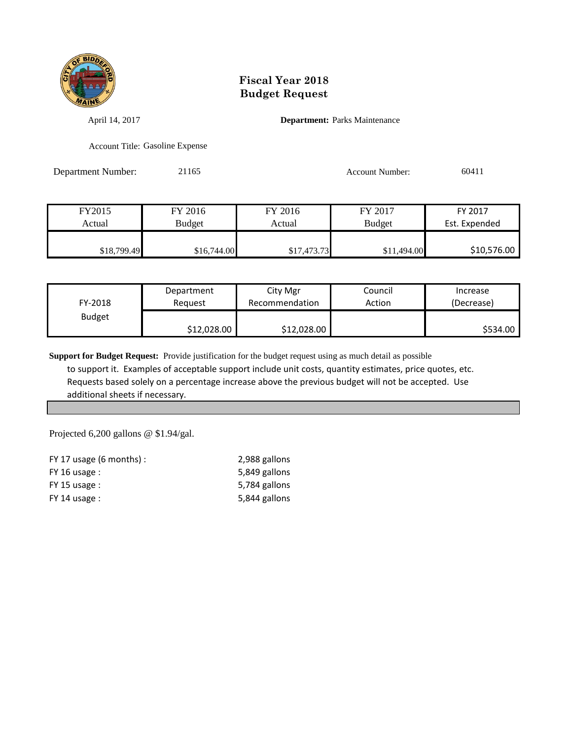

April 14, 2017 **Department:** Parks Maintenance

Account Title: Gasoline Expense

Department Number: 21165 Account Number: 60411

| FY2015      | FY 2016     | FY 2016     | FY 2017       | FY 2017       |
|-------------|-------------|-------------|---------------|---------------|
| Actual      | Budget      | Actual      | <b>Budget</b> | Est. Expended |
|             |             |             |               |               |
| \$18,799.49 | \$16,744.00 | \$17,473.73 | \$11,494.00   | \$10,576.00   |

| FY-2018       | Department  | City Mgr       | Council | Increase   |
|---------------|-------------|----------------|---------|------------|
|               | Reauest     | Recommendation | Action  | (Decrease) |
| <b>Budget</b> | \$12,028.00 | \$12,028.00    |         | \$534.00   |

**Support for Budget Request:** Provide justification for the budget request using as much detail as possible to support it. Examples of acceptable support include unit costs, quantity estimates, price quotes, etc. Requests based solely on a percentage increase above the previous budget will not be accepted. Use additional sheets if necessary.

Projected 6,200 gallons @ \$1.94/gal.

| FY 17 usage $(6 \text{ months})$ : | 2,988 gallons |
|------------------------------------|---------------|
| FY 16 usage :                      | 5,849 gallons |
| $FY$ 15 usage :                    | 5,784 gallons |
| $FY$ 14 usage :                    | 5,844 gallons |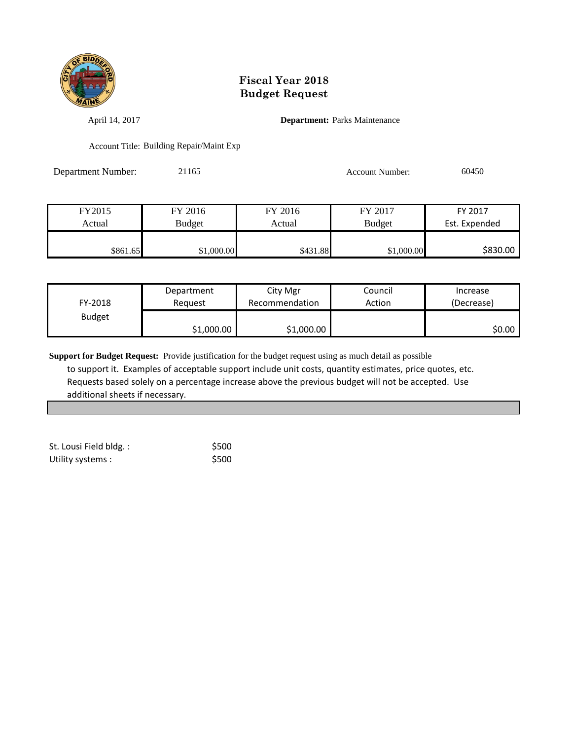

April 14, 2017 **Department:** Parks Maintenance

Account Title: Building Repair/Maint Exp

Department Number: 21165 Account Number: 60450

| FY2015   | FY 2016    | FY 2016  | FY 2017       | FY 2017       |
|----------|------------|----------|---------------|---------------|
| Actual   | Budget     | Actual   | <b>Budget</b> | Est. Expended |
|          |            |          |               |               |
| \$861.65 | \$1,000.00 | \$431.88 | \$1,000.00    | \$830.00      |

| FY-2018       | Department | City Mgr       | Council | Increase   |
|---------------|------------|----------------|---------|------------|
|               | Reguest    | Recommendation | Action  | (Decrease) |
| <b>Budget</b> | \$1,000.00 | \$1,000.00     |         | \$0.00     |

| St. Lousi Field bldg.: | \$500 |
|------------------------|-------|
| Utility systems :      | \$500 |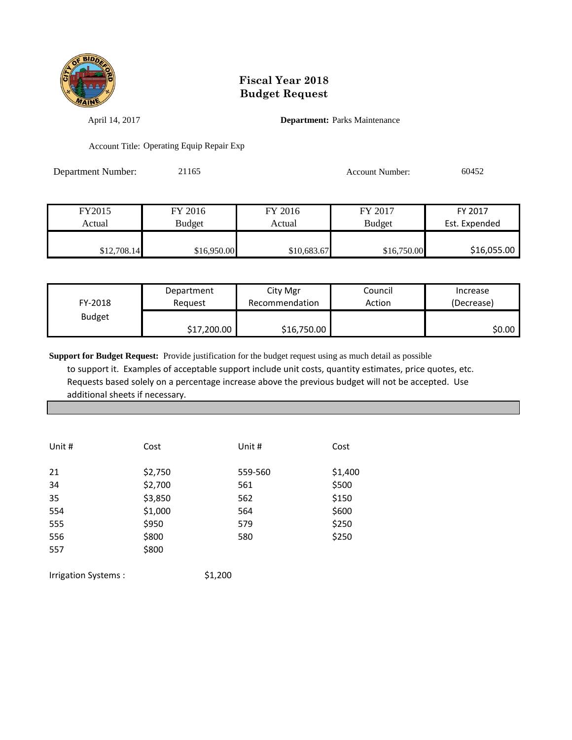

April 14, 2017 **Department:** Parks Maintenance

Account Title: Operating Equip Repair Exp

Department Number: 21165 Account Number: 60452

| FY2015      | FY 2016       | FY 2016     | FY 2017       | FY 2017       |
|-------------|---------------|-------------|---------------|---------------|
| Actual      | <b>Budget</b> | Actual      | <b>Budget</b> | Est. Expended |
|             |               |             |               |               |
| \$12,708.14 | \$16,950.00   | \$10,683.67 | \$16,750.00   | \$16,055.00   |

| FY-2018       | Department  | City Mgr       | Council | Increase   |
|---------------|-------------|----------------|---------|------------|
|               | Reauest     | Recommendation | Action  | (Decrease) |
| <b>Budget</b> | \$17,200.00 | \$16,750.00    |         | \$0.00     |

**Support for Budget Request:** Provide justification for the budget request using as much detail as possible to support it. Examples of acceptable support include unit costs, quantity estimates, price quotes, etc. Requests based solely on a percentage increase above the previous budget will not be accepted. Use additional sheets if necessary.

| Unit # | Cost    | Unit #  | Cost    |
|--------|---------|---------|---------|
| 21     | \$2,750 | 559-560 | \$1,400 |
| 34     | \$2,700 | 561     | \$500   |
| 35     | \$3,850 | 562     | \$150   |
| 554    | \$1,000 | 564     | \$600   |
| 555    | \$950   | 579     | \$250   |
| 556    | \$800   | 580     | \$250   |
| 557    | \$800   |         |         |
|        |         |         |         |

Irrigation Systems :  $$1,200$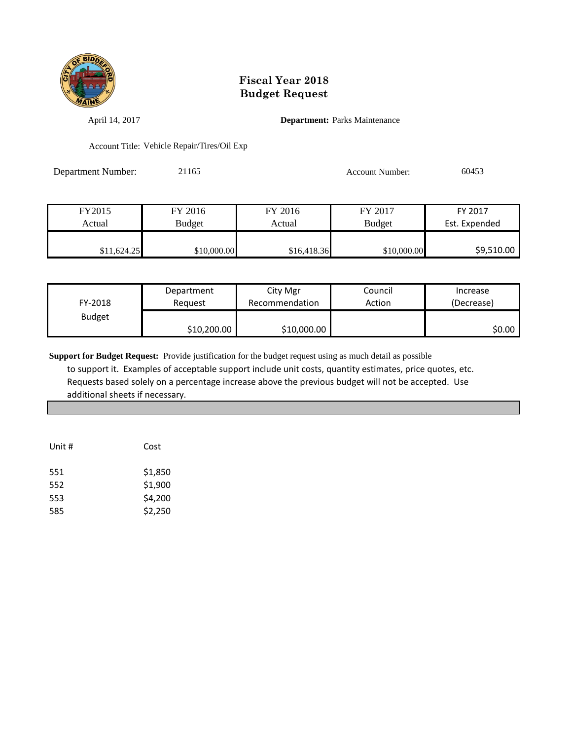

April 14, 2017 **Department:** Parks Maintenance

Account Title: Vehicle Repair/Tires/Oil Exp

Department Number: 21165 Account Number: 60453

| FY2015      | FY 2016     | FY 2016     | FY 2017       | FY 2017       |
|-------------|-------------|-------------|---------------|---------------|
| Actual      | Budget      | Actual      | <b>Budget</b> | Est. Expended |
|             |             |             |               |               |
| \$11,624.25 | \$10,000.00 | \$16,418.36 | \$10,000.00   | \$9,510.00    |

| FY-2018       | Reauest     | Recommendation | Action | (Decrease) |
|---------------|-------------|----------------|--------|------------|
| <b>Budget</b> | \$10,200.00 | \$10,000.00    |        | \$0.00     |

| Unit # | Cost    |
|--------|---------|
| 551    | \$1,850 |
| 552    | \$1,900 |
| 553    | \$4,200 |
| 585    | \$2,250 |
|        |         |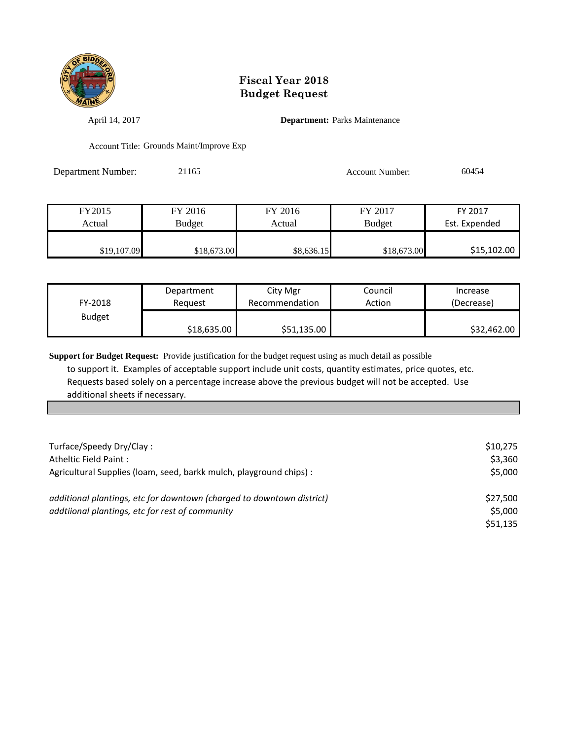

April 14, 2017 **Department:** Parks Maintenance

Account Title: Grounds Maint/Improve Exp

| Department Number: | 21165 | <b>Account Number:</b> | 60454 |
|--------------------|-------|------------------------|-------|
|                    |       |                        |       |

| FY2015      | FY 2016       | FY 2016    | FY 2017       | FY 2017       |
|-------------|---------------|------------|---------------|---------------|
| Actual      | <b>Budget</b> | Actual     | <b>Budget</b> | Est. Expended |
|             |               |            |               |               |
| \$19,107.09 | \$18,673.00   | \$8,636.15 | \$18,673.00   | \$15,102.00   |

| FY-2018       | Department  | City Mgr       | Council | Increase    |
|---------------|-------------|----------------|---------|-------------|
|               | Reauest     | Recommendation | Action  | (Decrease)  |
| <b>Budget</b> | \$18,635.00 | \$51,135.00    |         | \$32,462.00 |

| Turface/Speedy Dry/Clay:                                              | \$10.275 |
|-----------------------------------------------------------------------|----------|
| Atheltic Field Paint:                                                 | \$3,360  |
| Agricultural Supplies (Ioam, seed, barkk mulch, playground chips) :   | \$5,000  |
|                                                                       |          |
| additional plantings, etc for downtown (charged to downtown district) | \$27,500 |
| addtiional plantings, etc for rest of community                       | \$5,000  |
|                                                                       | \$51,135 |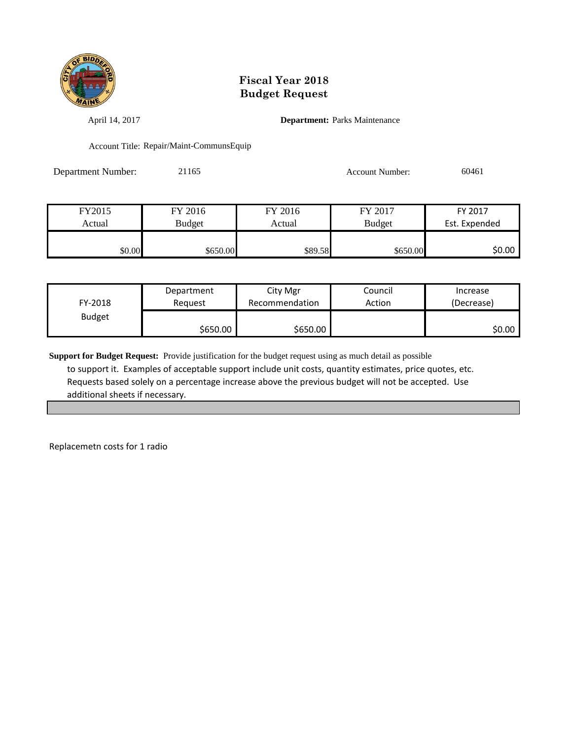

April 14, 2017 **Department:** Parks Maintenance

Account Title: Repair/Maint-CommunsEquip

Department Number: 21165 21165 Account Number: 60461

| FY2015 | FY 2016       | FY 2016 | FY 2017       | FY 2017       |
|--------|---------------|---------|---------------|---------------|
| Actual | <b>Budget</b> | Actual  | <b>Budget</b> | Est. Expended |
|        |               |         |               |               |
| \$0.00 | \$650.00      | \$89.58 | \$650.00      | \$0.00        |

| FY-2018       | Department | City Mgr       | Council | Increase   |
|---------------|------------|----------------|---------|------------|
|               | Reguest    | Recommendation | Action  | (Decrease) |
| <b>Budget</b> | \$650.00   | \$650.00       |         | \$0.00     |

**Support for Budget Request:** Provide justification for the budget request using as much detail as possible to support it. Examples of acceptable support include unit costs, quantity estimates, price quotes, etc. Requests based solely on a percentage increase above the previous budget will not be accepted. Use additional sheets if necessary.

Replacemetn costs for 1 radio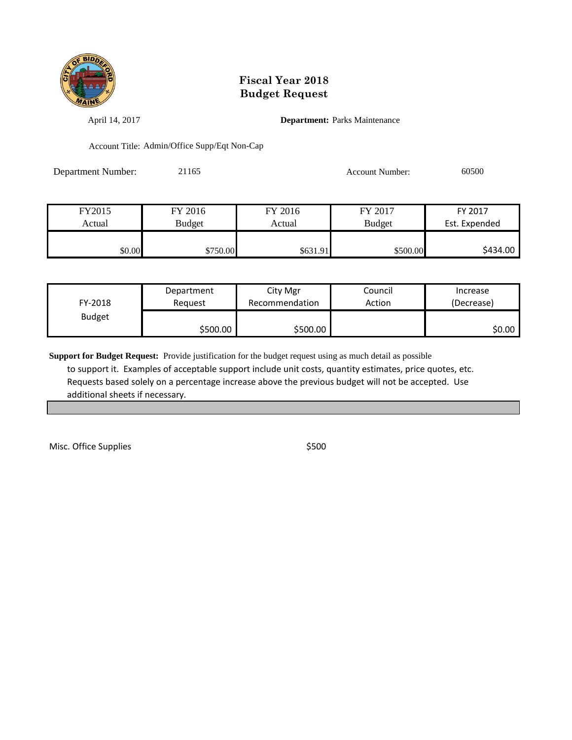

April 14, 2017 **Department:** Parks Maintenance

Account Title: Admin/Office Supp/Eqt Non-Cap

Department Number: 21165 Account Number: 60500

| FY2015 | FY 2016       | FY 2016  | FY 2017       | FY 2017       |
|--------|---------------|----------|---------------|---------------|
| Actual | <b>Budget</b> | Actual   | <b>Budget</b> | Est. Expended |
|        |               |          |               |               |
| \$0.00 | \$750.00      | \$631.91 | \$500.00      | \$434.00      |

| FY-2018       | Department | City Mgr       | Council | Increase   |
|---------------|------------|----------------|---------|------------|
|               | Reguest    | Recommendation | Action  | (Decrease) |
| <b>Budget</b> | \$500.00   | \$500.00       |         | \$0.00     |

**Support for Budget Request:** Provide justification for the budget request using as much detail as possible to support it. Examples of acceptable support include unit costs, quantity estimates, price quotes, etc. Requests based solely on a percentage increase above the previous budget will not be accepted. Use additional sheets if necessary.

Misc. Office Supplies  $$500$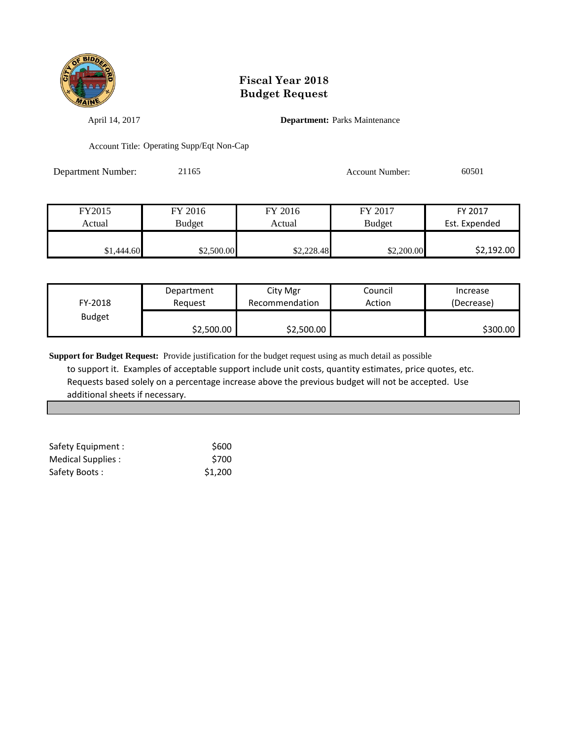

April 14, 2017 **Department:** Parks Maintenance

Account Title: Operating Supp/Eqt Non-Cap

| Department Number: | 21165 | Account Number: | 60501 |
|--------------------|-------|-----------------|-------|
|                    |       |                 |       |

| FY2015     | FY 2016    | FY 2016    | FY 2017       | FY 2017       |
|------------|------------|------------|---------------|---------------|
| Actual     | Budget     | Actual     | <b>Budget</b> | Est. Expended |
|            |            |            |               |               |
| \$1,444.60 | \$2,500.00 | \$2,228.48 | \$2,200.00    | \$2,192.00    |

| FY-2018       | Department | City Mgr       | Council | Increase   |
|---------------|------------|----------------|---------|------------|
|               | Reguest    | Recommendation | Action  | (Decrease) |
| <b>Budget</b> | \$2,500.00 | \$2,500.00     |         | \$300.00   |

| Safety Equipment : | \$600   |
|--------------------|---------|
| Medical Supplies : | \$700   |
| Safety Boots:      | \$1,200 |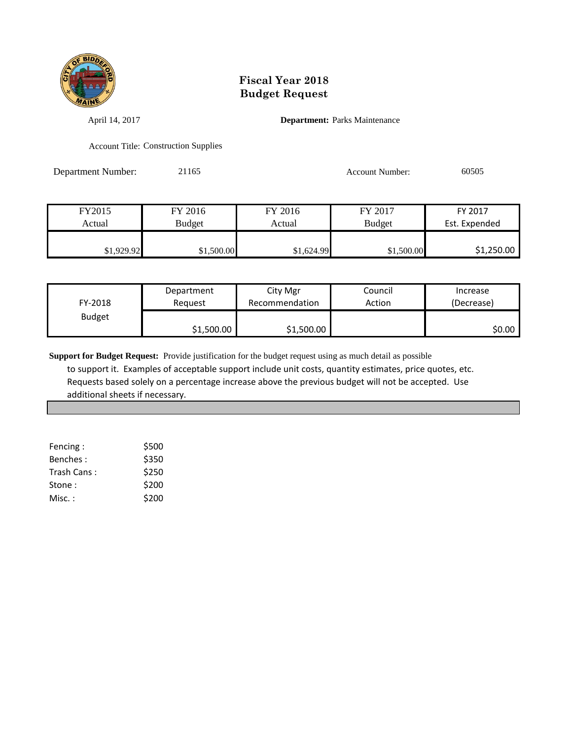

April 14, 2017 **Department:** Parks Maintenance

Account Title: Construction Supplies

Department Number: 21165 Account Number: 60505

| FY2015     | FY 2016       | FY 2016    | FY 2017       | FY 2017       |
|------------|---------------|------------|---------------|---------------|
| Actual     | <b>Budget</b> | Actual     | <b>Budget</b> | Est. Expended |
|            |               |            |               |               |
| \$1,929.92 | \$1,500.00    | \$1,624.99 | \$1,500.00    | \$1,250.00    |

| FY-2018       | Department | City Mgr       | Council | Increase   |
|---------------|------------|----------------|---------|------------|
|               | Reauest    | Recommendation | Action  | (Decrease) |
| <b>Budget</b> | \$1,500.00 | \$1,500.00     |         | ا 50.00    |

| Fencing:    | \$500 |
|-------------|-------|
| Benches:    | \$350 |
| Trash Cans: | \$250 |
| Stone:      | \$200 |
| Misc. :     | \$200 |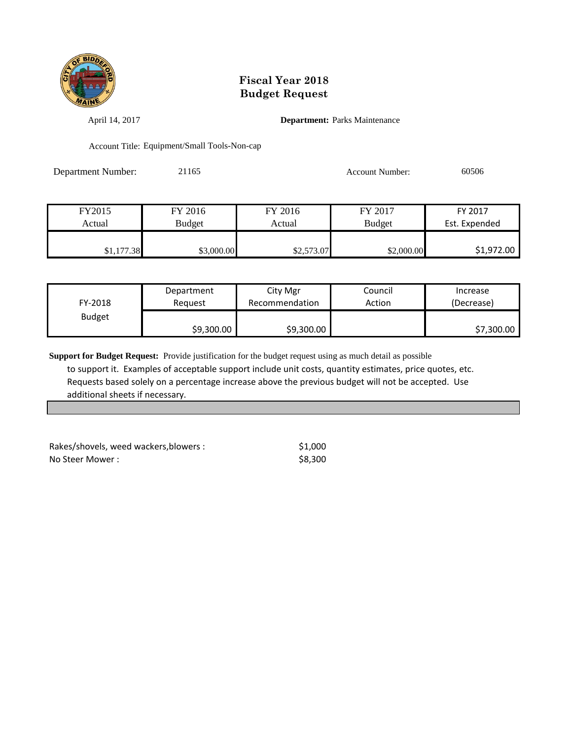

April 14, 2017 **Department:** Parks Maintenance

Account Title: Equipment/Small Tools-Non-cap

Department Number: 21165 Account Number: 60506

| FY2015     | FY 2016       | FY 2016    | FY 2017       | FY 2017       |
|------------|---------------|------------|---------------|---------------|
| Actual     | <b>Budget</b> | Actual     | <b>Budget</b> | Est. Expended |
|            |               |            |               |               |
| \$1,177.38 | \$3,000.00    | \$2,573.07 | \$2,000.00    | \$1,972.00    |

| FY-2018       | Department | City Mgr       | Council | Increase   |
|---------------|------------|----------------|---------|------------|
|               | Reauest    | Recommendation | Action  | (Decrease) |
| <b>Budget</b> | \$9,300.00 | \$9,300.00     |         | \$7,300.00 |

| Rakes/shovels, weed wackers, blowers : | \$1.000 |
|----------------------------------------|---------|
| No Steer Mower :                       | \$8.300 |